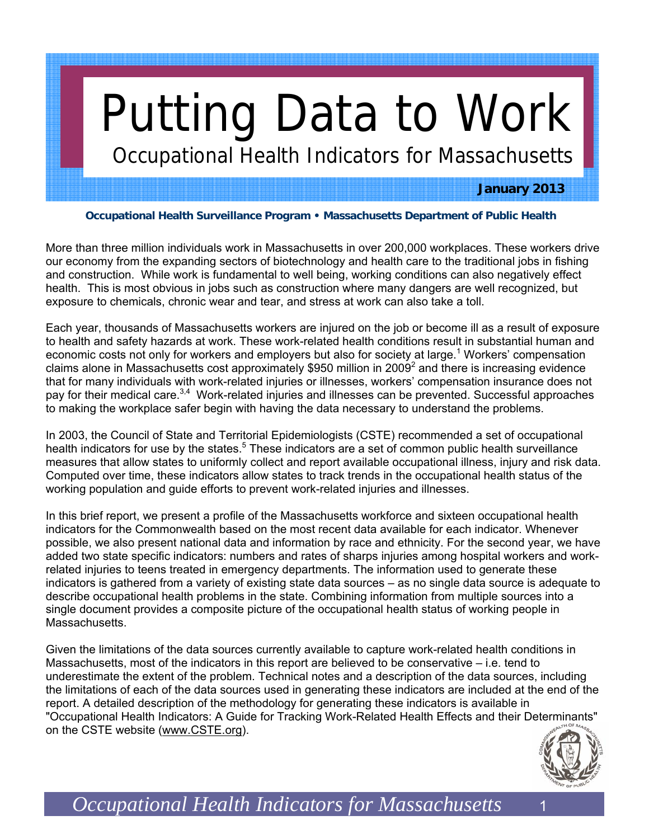# Putting Data to Work

Occupational Health Indicators for Massachusetts

## **January 2013**

#### **Occupational Health Surveillance Program • Massachusetts Department of Public Health**

More than three million individuals work in Massachusetts in over 200,000 workplaces. These workers drive our economy from the expanding sectors of biotechnology and health care to the traditional jobs in fishing and construction. While work is fundamental to well being, working conditions can also negatively effect health. This is most obvious in jobs such as construction where many dangers are well recognized, but exposure to chemicals, chronic wear and tear, and stress at work can also take a toll.

Each year, thousands of Massachusetts workers are injured on the job or become ill as a result of exposure to health and safety hazards at work. These work-related health conditions result in substantial human and economic costs not only for workers and employers but also for society at large.<sup>1</sup> Workers' compensation claims alone in Massachusetts cost approximately \$950 million in 2009<sup>2</sup> and there is increasing evidence that for many individuals with work-related injuries or illnesses, workers' compensation insurance does not pay for their medical care.<sup>3,4</sup> Work-related injuries and illnesses can be prevented. Successful approaches to making the workplace safer begin with having the data necessary to understand the problems.

In 2003, the Council of State and Territorial Epidemiologists (CSTE) recommended a set of occupational health indicators for use by the states.<sup>5</sup> These indicators are a set of common public health surveillance measures that allow states to uniformly collect and report available occupational illness, injury and risk data. Computed over time, these indicators allow states to track trends in the occupational health status of the working population and guide efforts to prevent work-related injuries and illnesses.

In this brief report, we present a profile of the Massachusetts workforce and sixteen occupational health indicators for the Commonwealth based on the most recent data available for each indicator. Whenever possible, we also present national data and information by race and ethnicity. For the second year, we have added two state specific indicators: numbers and rates of sharps injuries among hospital workers and workrelated injuries to teens treated in emergency departments. The information used to generate these indicators is gathered from a variety of existing state data sources – as no single data source is adequate to describe occupational health problems in the state. Combining information from multiple sources into a single document provides a composite picture of the occupational health status of working people in Massachusetts.

Given the limitations of the data sources currently available to capture work-related health conditions in Massachusetts, most of the indicators in this report are believed to be conservative – i.e. tend to underestimate the extent of the problem. Technical notes and a description of the data sources, including the limitations of each of the data sources used in generating these indicators are included at the end of the report. A detailed description of the methodology for generating these indicators is available in "Occupational Health Indicators: A Guide for Tracking Work-Related Health Effects and their Determinants" on the CSTE website (www.CSTE.org).

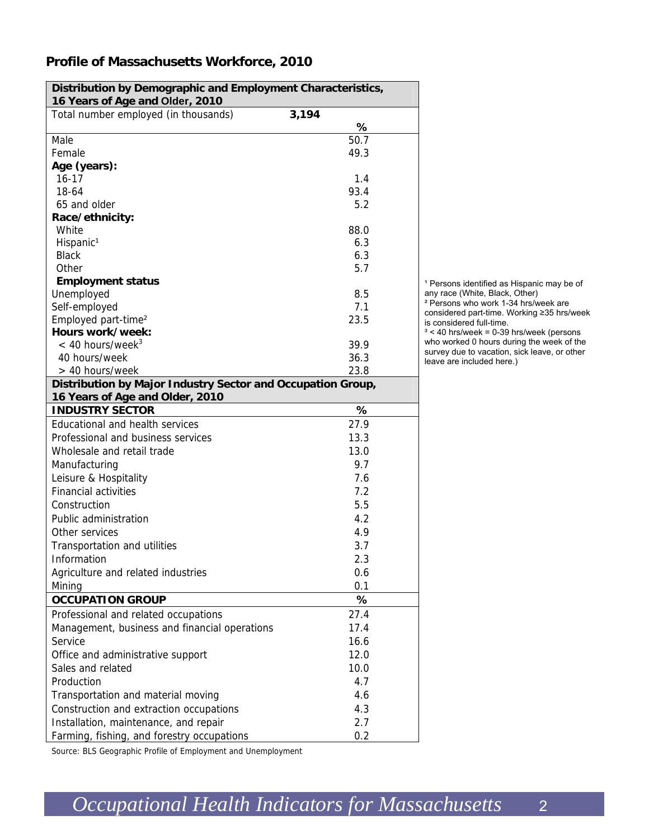## **Profile of Massachusetts Workforce, 2010**

| Distribution by Demographic and Employment Characteristics, |             |
|-------------------------------------------------------------|-------------|
| 16 Years of Age and Older, 2010                             |             |
| Total number employed (in thousands)                        | 3,194       |
| Male                                                        | %           |
|                                                             | 50.7        |
| Female                                                      | 49.3        |
| Age (years):                                                |             |
| $16 - 17$<br>18-64                                          | 1.4<br>93.4 |
|                                                             |             |
| 65 and older                                                | 5.2         |
| Race/ethnicity:                                             |             |
| White                                                       | 88.0        |
| Hispanic <sup>1</sup>                                       | 6.3         |
| <b>Black</b>                                                | 6.3<br>5.7  |
| Other                                                       |             |
| <b>Employment status</b>                                    |             |
| Unemployed                                                  | 8.5         |
| Self-employed                                               | 7.1         |
| Employed part-time <sup>2</sup><br>Hours work/week:         | 23.5        |
|                                                             |             |
| $< 40$ hours/week <sup>3</sup>                              | 39.9        |
| 40 hours/week                                               | 36.3        |
| > 40 hours/week                                             | 23.8        |
| Distribution by Major Industry Sector and Occupation Group, |             |
| 16 Years of Age and Older, 2010                             |             |
| <b>INDUSTRY SECTOR</b>                                      | %           |
| Educational and health services                             | 27.9        |
| Professional and business services                          | 13.3        |
| Wholesale and retail trade                                  | 13.0        |
| Manufacturing                                               | 9.7         |
| Leisure & Hospitality                                       | 7.6         |
| <b>Financial activities</b>                                 | 7.2         |
| Construction                                                | 5.5         |
| Public administration                                       | 4.2         |
| Other services                                              | 4.9         |
| Transportation and utilities                                | 3.7         |
| Information                                                 | 2.3         |
| Agriculture and related industries                          | 0.6         |
| Mining                                                      | 0.1         |
| <b>OCCUPATION GROUP</b>                                     | %           |
| Professional and related occupations                        | 27.4        |
| Management, business and financial operations               | 17.4        |
| Service                                                     | 16.6        |
|                                                             | 12.0        |
| Office and administrative support                           |             |
| Sales and related                                           | 10.0        |
| Production                                                  | 4.7         |
| Transportation and material moving                          | 4.6         |
| Construction and extraction occupations                     | 4.3         |
| Installation, maintenance, and repair                       | 2.7         |
| Farming, fishing, and forestry occupations                  | 0.2         |

<sup>1</sup> Persons identified as Hispanic may be of any race (White, Black, Other) ² Persons who work 1-34 hrs/week are

considered part-time. Working ≥35 hrs/week is considered full-time.  $3 < 40$  hrs/week = 0-39 hrs/week (persons

who worked 0 hours during the week of the survey due to vacation, sick leave, or other leave are included here.)

Source: BLS Geographic Profile of Employment and Unemployment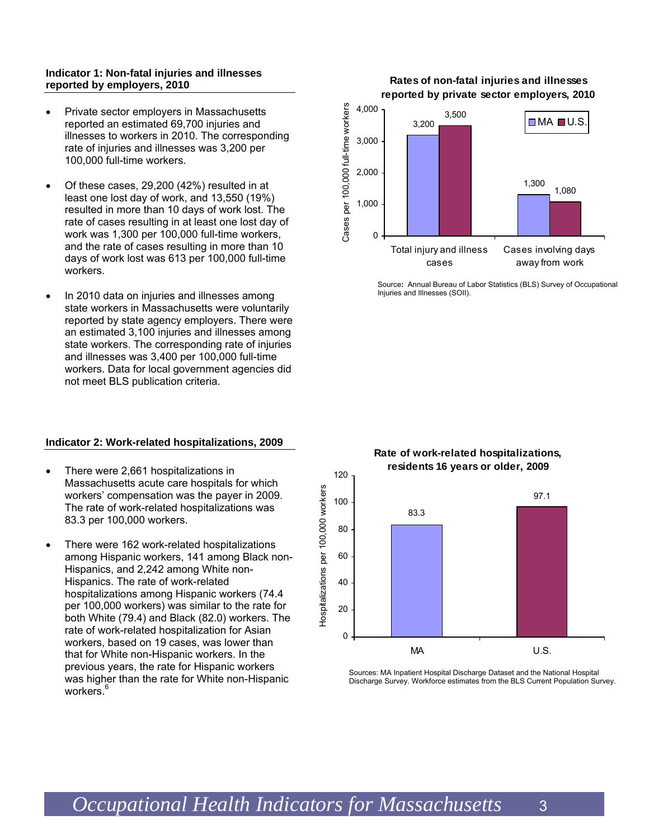#### **Indicator 1: Non-fatal injuries and illnesses reported by employers, 2010**

- Private sector employers in Massachusetts reported an estimated 69,700 injuries and illnesses to workers in 2010. The corresponding rate of injuries and illnesses was 3,200 per 100,000 full-time workers.
- Of these cases, 29,200 (42%) resulted in at least one lost day of work, and 13,550 (19%) resulted in more than 10 days of work lost. The rate of cases resulting in at least one lost day of work was 1,300 per 100,000 full-time workers, and the rate of cases resulting in more than 10 days of work lost was 613 per 100,000 full-time workers.
- In 2010 data on injuries and illnesses among state workers in Massachusetts were voluntarily reported by state agency employers. There were an estimated 3,100 injuries and illnesses among state workers. The corresponding rate of injuries and illnesses was 3,400 per 100,000 full-time workers. Data for local government agencies did not meet BLS publication criteria.

#### **Indicator 2: Work-related hospitalizations, 2009**

- There were 2,661 hospitalizations in Massachusetts acute care hospitals for which workers' compensation was the payer in 2009. The rate of work-related hospitalizations was 83.3 per 100,000 workers.
- There were 162 work-related hospitalizations among Hispanic workers, 141 among Black non-Hispanics, and 2,242 among White non-Hispanics. The rate of work-related hospitalizations among Hispanic workers (74.4 per 100,000 workers) was similar to the rate for both White (79.4) and Black (82.0) workers. The rate of work-related hospitalization for Asian workers, based on 19 cases, was lower than that for White non-Hispanic workers. In the previous years, the rate for Hispanic workers was higher than the rate for White non-Hispanic workers.<sup>6</sup>

#### **Rates of non-fatal injuries and illnesses reported by private sector employers, 2010**



Source**:** Annual Bureau of Labor Statistics (BLS) Survey of Occupational Injuries and Illnesses (SOII).



**Rate of work-related hospitalizations,** 

Sources: MA Inpatient Hospital Discharge Dataset and the National Hospital Discharge Survey. Workforce estimates from the BLS Current Population Survey.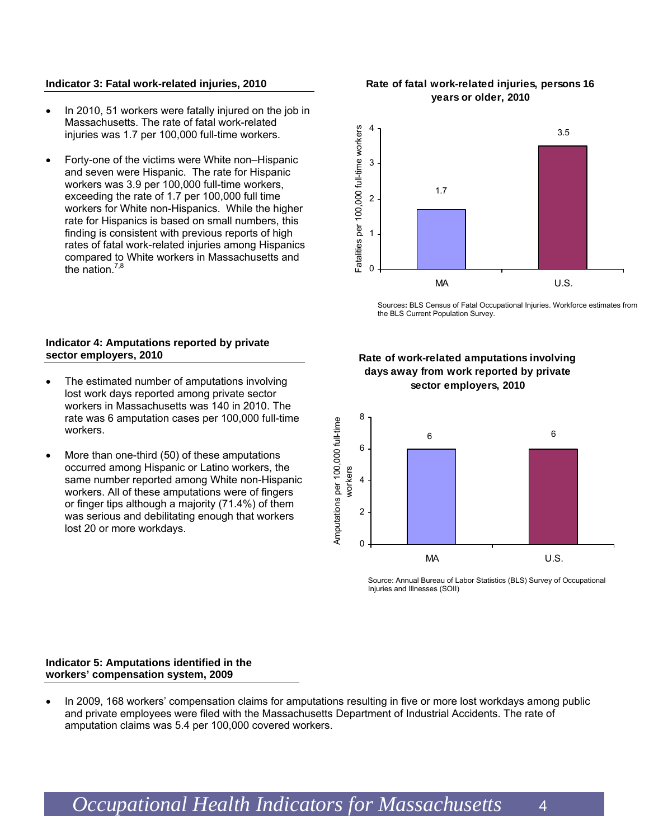#### **Indicator 3: Fatal work-related injuries, 2010**

- In 2010, 51 workers were fatally injured on the job in Massachusetts. The rate of fatal work-related injuries was 1.7 per 100,000 full-time workers.
- Forty-one of the victims were White non–Hispanic and seven were Hispanic. The rate for Hispanic workers was 3.9 per 100,000 full-time workers, exceeding the rate of 1.7 per 100,000 full time workers for White non-Hispanics. While the higher rate for Hispanics is based on small numbers, this finding is consistent with previous reports of high rates of fatal work-related injuries among Hispanics compared to White workers in Massachusetts and the nation. $\frac{7}{3}$

#### **Indicator 4: Amputations reported by private sector employers, 2010**

- The estimated number of amputations involving lost work days reported among private sector workers in Massachusetts was 140 in 2010. The rate was 6 amputation cases per 100,000 full-time workers.
- More than one-third (50) of these amputations occurred among Hispanic or Latino workers, the same number reported among White non-Hispanic workers. All of these amputations were of fingers or finger tips although a majority (71.4%) of them was serious and debilitating enough that workers lost 20 or more workdays.

#### **Rate of fatal work-related injuries, persons 16 years or older, 2010**



Sources**:** BLS Census of Fatal Occupational Injuries. Workforce estimates from the BLS Current Population Survey.

#### **Rate of work-related amputations involving days away from work reported by private sector employers, 2010**



Source: Annual Bureau of Labor Statistics (BLS) Survey of Occupational Injuries and Illnesses (SOII)

#### **Indicator 5: Amputations identified in the workers' compensation system, 2009**

• In 2009, 168 workers' compensation claims for amputations resulting in five or more lost workdays among public and private employees were filed with the Massachusetts Department of Industrial Accidents. The rate of amputation claims was 5.4 per 100,000 covered workers.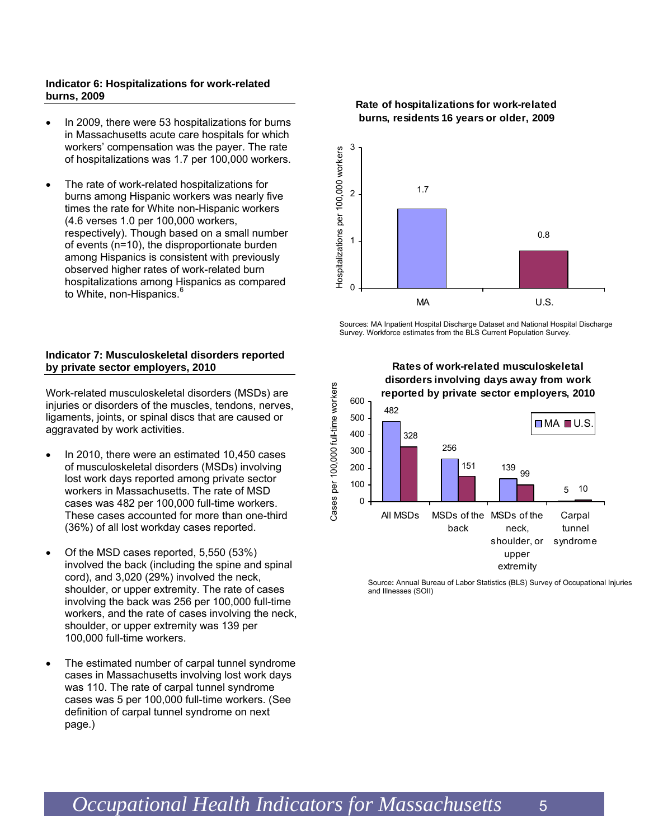#### **Indicator 6: Hospitalizations for work-related burns, 2009**

- In 2009, there were 53 hospitalizations for burns in Massachusetts acute care hospitals for which workers' compensation was the payer. The rate of hospitalizations was 1.7 per 100,000 workers.
- The rate of work-related hospitalizations for burns among Hispanic workers was nearly five times the rate for White non-Hispanic workers (4.6 verses 1.0 per 100,000 workers, respectively). Though based on a small number of events (n=10), the disproportionate burden among Hispanics is consistent with previously observed higher rates of work-related burn hospitalizations among Hispanics as compared to White, non-Hispanics.<sup>6</sup>

#### **Indicator 7: Musculoskeletal disorders reported by private sector employers, 2010**

Work-related musculoskeletal disorders (MSDs) are injuries or disorders of the muscles, tendons, nerves, ligaments, joints, or spinal discs that are caused or aggravated by work activities.

- In 2010, there were an estimated 10,450 cases of musculoskeletal disorders (MSDs) involving lost work days reported among private sector workers in Massachusetts. The rate of MSD cases was 482 per 100,000 full-time workers. These cases accounted for more than one-third (36%) of all lost workday cases reported.
- Of the MSD cases reported, 5,550 (53%) involved the back (including the spine and spinal cord), and 3,020 (29%) involved the neck, shoulder, or upper extremity. The rate of cases involving the back was 256 per 100,000 full-time workers, and the rate of cases involving the neck, shoulder, or upper extremity was 139 per 100,000 full-time workers.
- The estimated number of carpal tunnel syndrome cases in Massachusetts involving lost work days was 110. The rate of carpal tunnel syndrome cases was 5 per 100,000 full-time workers. (See definition of carpal tunnel syndrome on next page.)

#### **Rate of hospitalizations for work-related burns, residents 16 years or older, 2009**



Sources: MA Inpatient Hospital Discharge Dataset and National Hospital Discharge Survey. Workforce estimates from the BLS Current Population Survey.



**Rates of work-related musculoskeletal** 

Source**:** Annual Bureau of Labor Statistics (BLS) Survey of Occupational Injuries and Illnesses (SOII)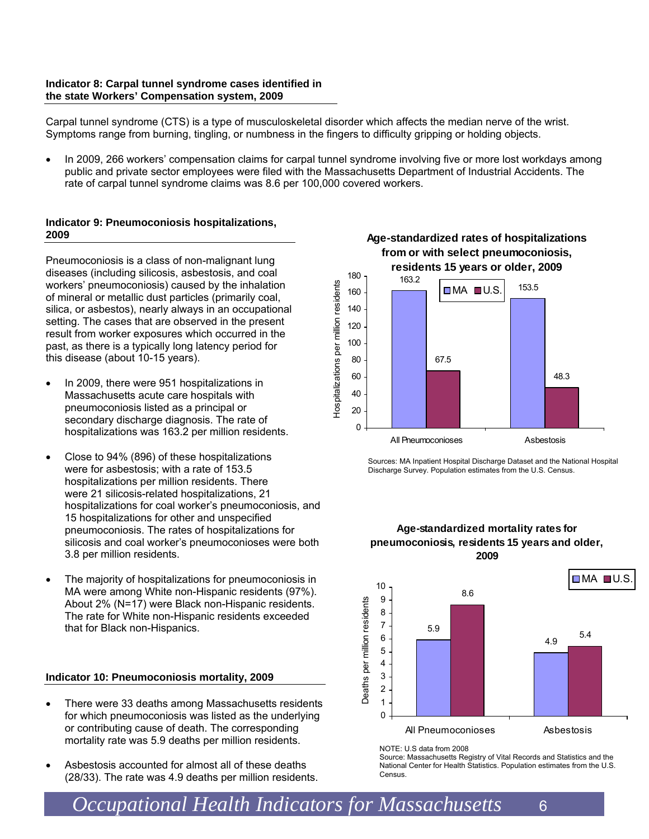#### **Indicator 8: Carpal tunnel syndrome cases identified in the state Workers' Compensation system, 2009**

Carpal tunnel syndrome (CTS) is a type of musculoskeletal disorder which affects the median nerve of the wrist. Symptoms range from burning, tingling, or numbness in the fingers to difficulty gripping or holding objects.

• In 2009, 266 workers' compensation claims for carpal tunnel syndrome involving five or more lost workdays among public and private sector employees were filed with the Massachusetts Department of Industrial Accidents. The rate of carpal tunnel syndrome claims was 8.6 per 100,000 covered workers.

#### **Indicator 9: Pneumoconiosis hospitalizations, 2009**

Pneumoconiosis is a class of non-malignant lung diseases (including silicosis, asbestosis, and coal workers' pneumoconiosis) caused by the inhalation of mineral or metallic dust particles (primarily coal, silica, or asbestos), nearly always in an occupational setting. The cases that are observed in the present result from worker exposures which occurred in the past, as there is a typically long latency period for this disease (about 10-15 years).

- In 2009, there were 951 hospitalizations in Massachusetts acute care hospitals with pneumoconiosis listed as a principal or secondary discharge diagnosis. The rate of hospitalizations was 163.2 per million residents.
- Close to 94% (896) of these hospitalizations were for asbestosis; with a rate of 153.5 hospitalizations per million residents. There were 21 silicosis-related hospitalizations, 21 hospitalizations for coal worker's pneumoconiosis, and 15 hospitalizations for other and unspecified pneumoconiosis. The rates of hospitalizations for silicosis and coal worker's pneumoconioses were both 3.8 per million residents.
- The majority of hospitalizations for pneumoconiosis in MA were among White non-Hispanic residents (97%). About 2% (N=17) were Black non-Hispanic residents. The rate for White non-Hispanic residents exceeded that for Black non-Hispanics.

#### **Indicator 10: Pneumoconiosis mortality, 2009**

- There were 33 deaths among Massachusetts residents for which pneumoconiosis was listed as the underlying or contributing cause of death. The corresponding mortality rate was 5.9 deaths per million residents.
- Asbestosis accounted for almost all of these deaths (28/33). The rate was 4.9 deaths per million residents.



**Age-standardized rates of hospitalizations** 

Sources: MA Inpatient Hospital Discharge Dataset and the National Hospital Discharge Survey. Population estimates from the U.S. Census.

#### **Age-standardized mortality rates for pneumoconiosis, residents 15 years and older, 2009**



NOTE: U.S data from 2008

Source: Massachusetts Registry of Vital Records and Statistics and the National Center for Health Statistics. Population estimates from the U.S. Census.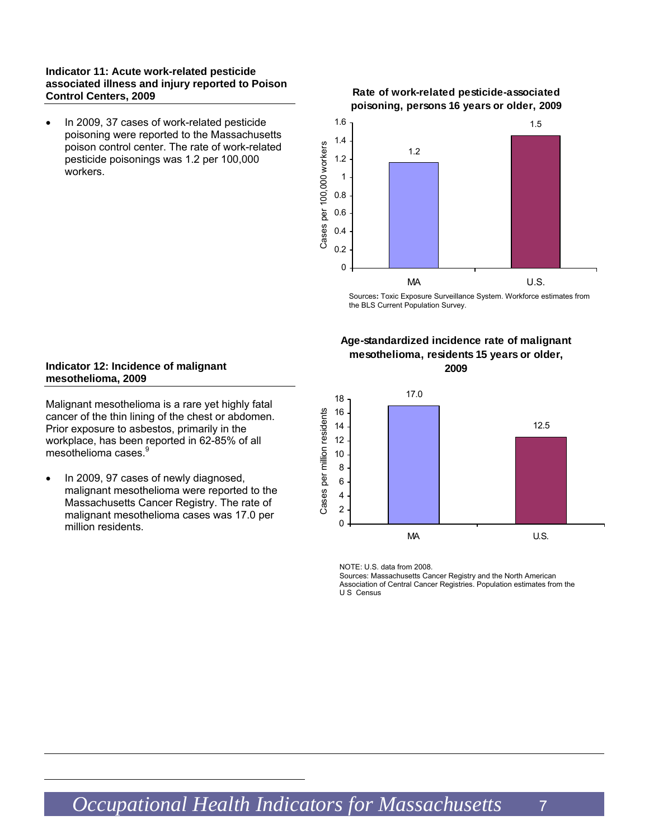#### **Indicator 11: Acute work-related pesticide associated illness and injury reported to Poison Control Centers, 2009**

• In 2009, 37 cases of work-related pesticide poisoning were reported to the Massachusetts poison control center. The rate of work-related pesticide poisonings was 1.2 per 100,000 workers.

#### **Rate of work-related pesticide-associated poisoning, persons 16 years or older, 2009**



Sources**:** Toxic Exposure Surveillance System. Workforce estimates from the BLS Current Population Survey.

#### **Age-standardized incidence rate of malignant mesothelioma, residents 15 years or older, 2009**



NOTE: U.S. data from 2008.

Sources: Massachusetts Cancer Registry and the North American Association of Central Cancer Registries. Population estimates from the U S Census

#### **Indicator 12: Incidence of malignant mesothelioma, 2009**

Malignant mesothelioma is a rare yet highly fatal cancer of the thin lining of the chest or abdomen. Prior exposure to asbestos, primarily in the workplace, has been reported in 62-85% of all mesothelioma cases.<sup>9</sup>

• In 2009, 97 cases of newly diagnosed, malignant mesothelioma were reported to the Massachusetts Cancer Registry. The rate of malignant mesothelioma cases was 17.0 per million residents.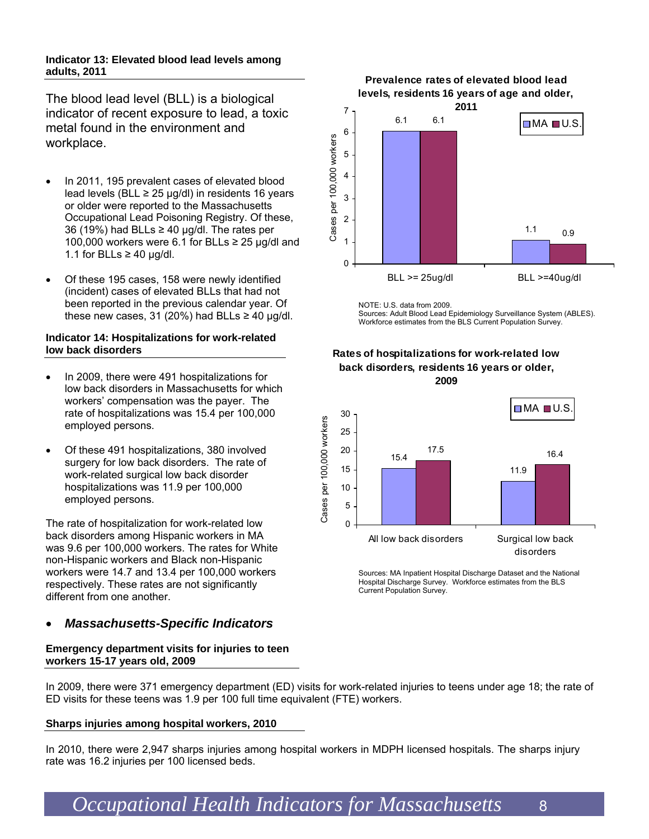#### **Indicator 13: Elevated blood lead levels among adults, 2011**

The blood lead level (BLL) is a biological indicator of recent exposure to lead, a toxic metal found in the environment and workplace.

- In 2011, 195 prevalent cases of elevated blood lead levels (BLL  $\geq$  25 µg/dl) in residents 16 years or older were reported to the Massachusetts Occupational Lead Poisoning Registry. Of these, 36 (19%) had BLLs  $\geq$  40 µg/dl. The rates per 100,000 workers were 6.1 for BLLs  $\geq$  25 µg/dl and 1.1 for BLLs  $\geq$  40 µg/dl.
- Of these 195 cases, 158 were newly identified (incident) cases of elevated BLLs that had not been reported in the previous calendar year. Of these new cases, 31 (20%) had BLLs  $\geq$  40 µg/dl.

#### **Indicator 14: Hospitalizations for work-related low back disorders**

- In 2009, there were 491 hospitalizations for low back disorders in Massachusetts for which workers' compensation was the payer. The rate of hospitalizations was 15.4 per 100,000 employed persons.
- Of these 491 hospitalizations, 380 involved surgery for low back disorders. The rate of work-related surgical low back disorder hospitalizations was 11.9 per 100,000 employed persons.

The rate of hospitalization for work-related low back disorders among Hispanic workers in MA was 9.6 per 100,000 workers. The rates for White non-Hispanic workers and Black non-Hispanic workers were 14.7 and 13.4 per 100,000 workers respectively. These rates are not significantly different from one another.

## • *Massachusetts-Specific Indicators*

#### **Emergency department visits for injuries to teen workers 15-17 years old, 2009**

In 2009, there were 371 emergency department (ED) visits for work-related injuries to teens under age 18; the rate of ED visits for these teens was 1.9 per 100 full time equivalent (FTE) workers.

#### **Sharps injuries among hospital workers, 2010**

In 2010, there were 2,947 sharps injuries among hospital workers in MDPH licensed hospitals. The sharps injury rate was 16.2 injuries per 100 licensed beds.

**Prevalence rates of elevated blood lead levels, residents 16 years of age and older,** 



NOTE: U.S. data from 2009. Sources: Adult Blood Lead Epidemiology Surveillance System (ABLES). Workforce estimates from the BLS Current Population Survey.

#### **Rates of hospitalizations for work-related low back disorders, residents 16 years or older, 2009**



Sources: MA Inpatient Hospital Discharge Dataset and the National Hospital Discharge Survey. Workforce estimates from the BLS Current Population Survey.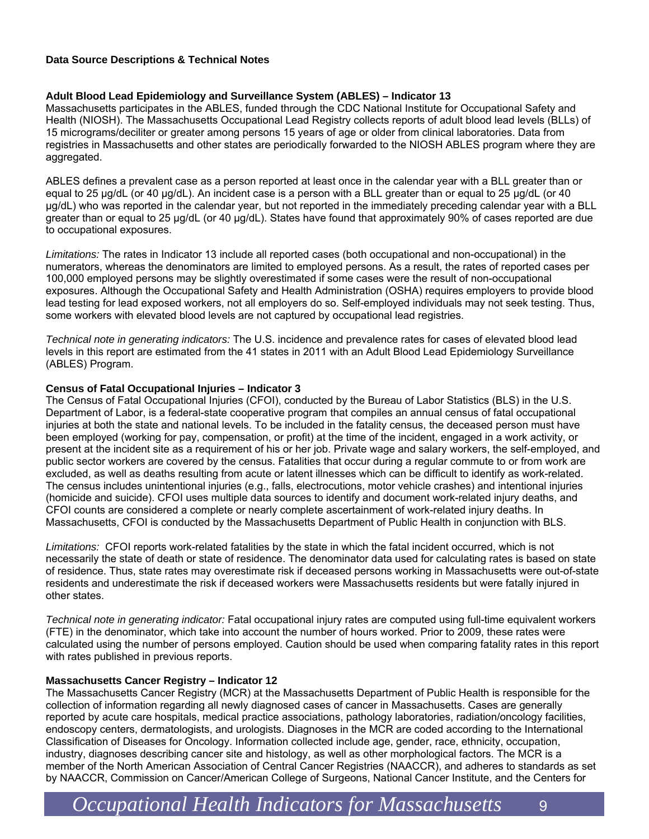#### **Data Source Descriptions & Technical Notes**

#### **Adult Blood Lead Epidemiology and Surveillance System (ABLES) – Indicator 13**

Massachusetts participates in the ABLES, funded through the CDC National Institute for Occupational Safety and Health (NIOSH). The Massachusetts Occupational Lead Registry collects reports of adult blood lead levels (BLLs) of 15 micrograms/deciliter or greater among persons 15 years of age or older from clinical laboratories. Data from registries in Massachusetts and other states are periodically forwarded to the NIOSH ABLES program where they are aggregated.

ABLES defines a prevalent case as a person reported at least once in the calendar year with a BLL greater than or equal to 25 μg/dL (or 40 μg/dL). An incident case is a person with a BLL greater than or equal to 25 μg/dL (or 40 μg/dL) who was reported in the calendar year, but not reported in the immediately preceding calendar year with a BLL greater than or equal to 25 μg/dL (or 40 μg/dL). States have found that approximately 90% of cases reported are due to occupational exposures.

*Limitations:* The rates in Indicator 13 include all reported cases (both occupational and non-occupational) in the numerators, whereas the denominators are limited to employed persons. As a result, the rates of reported cases per 100,000 employed persons may be slightly overestimated if some cases were the result of non-occupational exposures. Although the Occupational Safety and Health Administration (OSHA) requires employers to provide blood lead testing for lead exposed workers, not all employers do so. Self-employed individuals may not seek testing. Thus, some workers with elevated blood levels are not captured by occupational lead registries.

*Technical note in generating indicators:* The U.S. incidence and prevalence rates for cases of elevated blood lead levels in this report are estimated from the 41 states in 2011 with an Adult Blood Lead Epidemiology Surveillance (ABLES) Program.

#### **Census of Fatal Occupational Injuries – Indicator 3**

The Census of Fatal Occupational Injuries (CFOI), conducted by the Bureau of Labor Statistics (BLS) in the U.S. Department of Labor, is a federal-state cooperative program that compiles an annual census of fatal occupational injuries at both the state and national levels. To be included in the fatality census, the deceased person must have been employed (working for pay, compensation, or profit) at the time of the incident, engaged in a work activity, or present at the incident site as a requirement of his or her job. Private wage and salary workers, the self-employed, and public sector workers are covered by the census. Fatalities that occur during a regular commute to or from work are excluded, as well as deaths resulting from acute or latent illnesses which can be difficult to identify as work-related. The census includes unintentional injuries (e.g., falls, electrocutions, motor vehicle crashes) and intentional injuries (homicide and suicide). CFOI uses multiple data sources to identify and document work-related injury deaths, and CFOI counts are considered a complete or nearly complete ascertainment of work-related injury deaths. In Massachusetts, CFOI is conducted by the Massachusetts Department of Public Health in conjunction with BLS.

*Limitations:* CFOI reports work-related fatalities by the state in which the fatal incident occurred, which is not necessarily the state of death or state of residence. The denominator data used for calculating rates is based on state of residence. Thus, state rates may overestimate risk if deceased persons working in Massachusetts were out-of-state residents and underestimate the risk if deceased workers were Massachusetts residents but were fatally injured in other states.

*Technical note in generating indicator:* Fatal occupational injury rates are computed using full-time equivalent workers (FTE) in the denominator, which take into account the number of hours worked. Prior to 2009, these rates were calculated using the number of persons employed. Caution should be used when comparing fatality rates in this report with rates published in previous reports.

#### **Massachusetts Cancer Registry – Indicator 12**

The Massachusetts Cancer Registry (MCR) at the Massachusetts Department of Public Health is responsible for the collection of information regarding all newly diagnosed cases of cancer in Massachusetts. Cases are generally reported by acute care hospitals, medical practice associations, pathology laboratories, radiation/oncology facilities, endoscopy centers, dermatologists, and urologists. Diagnoses in the MCR are coded according to the International Classification of Diseases for Oncology. Information collected include age, gender, race, ethnicity, occupation, industry, diagnoses describing cancer site and histology, as well as other morphological factors. The MCR is a member of the North American Association of Central Cancer Registries (NAACCR), and adheres to standards as set by NAACCR, Commission on Cancer/American College of Surgeons, National Cancer Institute, and the Centers for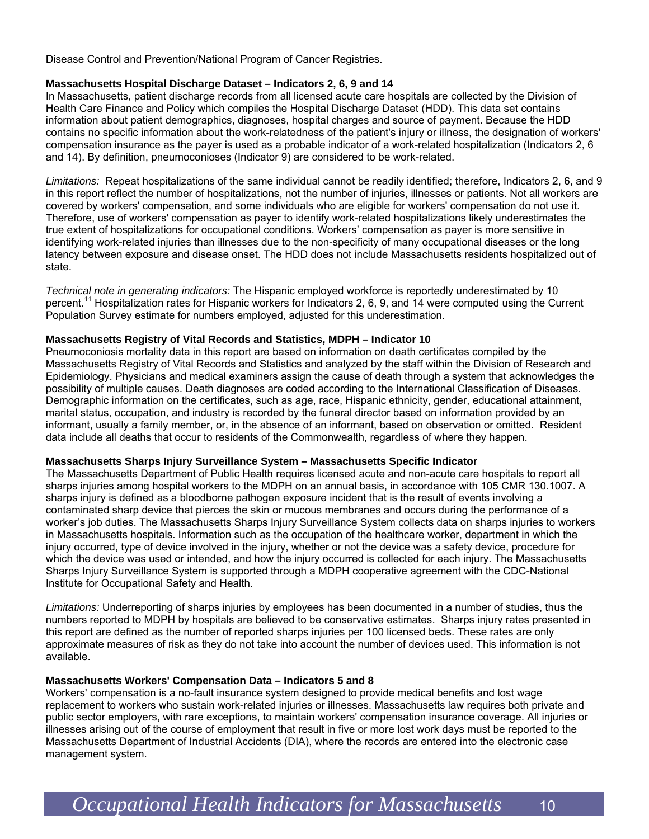Disease Control and Prevention/National Program of Cancer Registries.

#### **Massachusetts Hospital Discharge Dataset – Indicators 2, 6, 9 and 14**

In Massachusetts, patient discharge records from all licensed acute care hospitals are collected by the Division of Health Care Finance and Policy which compiles the Hospital Discharge Dataset (HDD). This data set contains information about patient demographics, diagnoses, hospital charges and source of payment. Because the HDD contains no specific information about the work-relatedness of the patient's injury or illness, the designation of workers' compensation insurance as the payer is used as a probable indicator of a work-related hospitalization (Indicators 2, 6 and 14). By definition, pneumoconioses (Indicator 9) are considered to be work-related.

*Limitations:* Repeat hospitalizations of the same individual cannot be readily identified; therefore, Indicators 2, 6, and 9 in this report reflect the number of hospitalizations, not the number of injuries, illnesses or patients. Not all workers are covered by workers' compensation, and some individuals who are eligible for workers' compensation do not use it. Therefore, use of workers' compensation as payer to identify work-related hospitalizations likely underestimates the true extent of hospitalizations for occupational conditions. Workers' compensation as payer is more sensitive in identifying work-related injuries than illnesses due to the non-specificity of many occupational diseases or the long latency between exposure and disease onset. The HDD does not include Massachusetts residents hospitalized out of state.

*Technical note in generating indicators:* The Hispanic employed workforce is reportedly underestimated by 10 percent.<sup>11</sup> Hospitalization rates for Hispanic workers for Indicators 2, 6, 9, and 14 were computed using the Current Population Survey estimate for numbers employed, adjusted for this underestimation.

#### **Massachusetts Registry of Vital Records and Statistics, MDPH – Indicator 10**

Pneumoconiosis mortality data in this report are based on information on death certificates compiled by the Massachusetts Registry of Vital Records and Statistics and analyzed by the staff within the Division of Research and Epidemiology. Physicians and medical examiners assign the cause of death through a system that acknowledges the possibility of multiple causes. Death diagnoses are coded according to the International Classification of Diseases. Demographic information on the certificates, such as age, race, Hispanic ethnicity, gender, educational attainment, marital status, occupation, and industry is recorded by the funeral director based on information provided by an informant, usually a family member, or, in the absence of an informant, based on observation or omitted. Resident data include all deaths that occur to residents of the Commonwealth, regardless of where they happen.

#### **Massachusetts Sharps Injury Surveillance System – Massachusetts Specific Indicator**

The Massachusetts Department of Public Health requires licensed acute and non-acute care hospitals to report all sharps injuries among hospital workers to the MDPH on an annual basis, in accordance with 105 CMR 130.1007. A sharps injury is defined as a bloodborne pathogen exposure incident that is the result of events involving a contaminated sharp device that pierces the skin or mucous membranes and occurs during the performance of a worker's job duties. The Massachusetts Sharps Injury Surveillance System collects data on sharps injuries to workers in Massachusetts hospitals. Information such as the occupation of the healthcare worker, department in which the injury occurred, type of device involved in the injury, whether or not the device was a safety device, procedure for which the device was used or intended, and how the injury occurred is collected for each injury. The Massachusetts Sharps Injury Surveillance System is supported through a MDPH cooperative agreement with the CDC-National Institute for Occupational Safety and Health.

*Limitations:* Underreporting of sharps injuries by employees has been documented in a number of studies, thus the numbers reported to MDPH by hospitals are believed to be conservative estimates. Sharps injury rates presented in this report are defined as the number of reported sharps injuries per 100 licensed beds. These rates are only approximate measures of risk as they do not take into account the number of devices used. This information is not available.

#### **Massachusetts Workers' Compensation Data – Indicators 5 and 8**

Workers' compensation is a no-fault insurance system designed to provide medical benefits and lost wage replacement to workers who sustain work-related injuries or illnesses. Massachusetts law requires both private and public sector employers, with rare exceptions, to maintain workers' compensation insurance coverage. All injuries or illnesses arising out of the course of employment that result in five or more lost work days must be reported to the Massachusetts Department of Industrial Accidents (DIA), where the records are entered into the electronic case management system.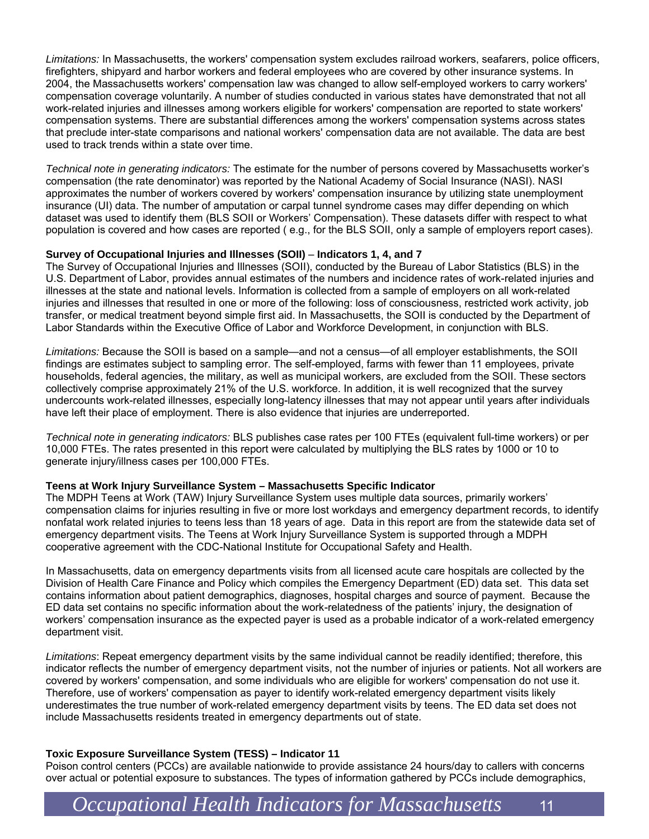*Limitations:* In Massachusetts, the workers' compensation system excludes railroad workers, seafarers, police officers, firefighters, shipyard and harbor workers and federal employees who are covered by other insurance systems. In 2004, the Massachusetts workers' compensation law was changed to allow self-employed workers to carry workers' compensation coverage voluntarily. A number of studies conducted in various states have demonstrated that not all work-related injuries and illnesses among workers eligible for workers' compensation are reported to state workers' compensation systems. There are substantial differences among the workers' compensation systems across states that preclude inter-state comparisons and national workers' compensation data are not available. The data are best used to track trends within a state over time.

*Technical note in generating indicators:* The estimate for the number of persons covered by Massachusetts worker's compensation (the rate denominator) was reported by the National Academy of Social Insurance (NASI). NASI approximates the number of workers covered by workers' compensation insurance by utilizing state unemployment insurance (UI) data. The number of amputation or carpal tunnel syndrome cases may differ depending on which dataset was used to identify them (BLS SOII or Workers' Compensation). These datasets differ with respect to what population is covered and how cases are reported ( e.g., for the BLS SOII, only a sample of employers report cases).

#### **Survey of Occupational Injuries and Illnesses (SOII)** – **Indicators 1, 4, and 7**

The Survey of Occupational Injuries and Illnesses (SOII), conducted by the Bureau of Labor Statistics (BLS) in the U.S. Department of Labor, provides annual estimates of the numbers and incidence rates of work-related injuries and illnesses at the state and national levels. Information is collected from a sample of employers on all work-related injuries and illnesses that resulted in one or more of the following: loss of consciousness, restricted work activity, job transfer, or medical treatment beyond simple first aid. In Massachusetts, the SOII is conducted by the Department of Labor Standards within the Executive Office of Labor and Workforce Development, in conjunction with BLS.

*Limitations:* Because the SOII is based on a sample—and not a census—of all employer establishments, the SOII findings are estimates subject to sampling error. The self-employed, farms with fewer than 11 employees, private households, federal agencies, the military, as well as municipal workers, are excluded from the SOII. These sectors collectively comprise approximately 21% of the U.S. workforce. In addition, it is well recognized that the survey undercounts work-related illnesses, especially long-latency illnesses that may not appear until years after individuals have left their place of employment. There is also evidence that injuries are underreported.

*Technical note in generating indicators:* BLS publishes case rates per 100 FTEs (equivalent full-time workers) or per 10,000 FTEs. The rates presented in this report were calculated by multiplying the BLS rates by 1000 or 10 to generate injury/illness cases per 100,000 FTEs.

#### **Teens at Work Injury Surveillance System – Massachusetts Specific Indicator**

The MDPH Teens at Work (TAW) Injury Surveillance System uses multiple data sources, primarily workers' compensation claims for injuries resulting in five or more lost workdays and emergency department records, to identify nonfatal work related injuries to teens less than 18 years of age. Data in this report are from the statewide data set of emergency department visits. The Teens at Work Injury Surveillance System is supported through a MDPH cooperative agreement with the CDC-National Institute for Occupational Safety and Health.

In Massachusetts, data on emergency departments visits from all licensed acute care hospitals are collected by the Division of Health Care Finance and Policy which compiles the Emergency Department (ED) data set. This data set contains information about patient demographics, diagnoses, hospital charges and source of payment. Because the ED data set contains no specific information about the work-relatedness of the patients' injury, the designation of workers' compensation insurance as the expected payer is used as a probable indicator of a work-related emergency department visit.

*Limitations*: Repeat emergency department visits by the same individual cannot be readily identified; therefore, this indicator reflects the number of emergency department visits, not the number of injuries or patients. Not all workers are covered by workers' compensation, and some individuals who are eligible for workers' compensation do not use it. Therefore, use of workers' compensation as payer to identify work-related emergency department visits likely underestimates the true number of work-related emergency department visits by teens. The ED data set does not include Massachusetts residents treated in emergency departments out of state.

#### **Toxic Exposure Surveillance System (TESS) – Indicator 11**

Poison control centers (PCCs) are available nationwide to provide assistance 24 hours/day to callers with concerns over actual or potential exposure to substances. The types of information gathered by PCCs include demographics,